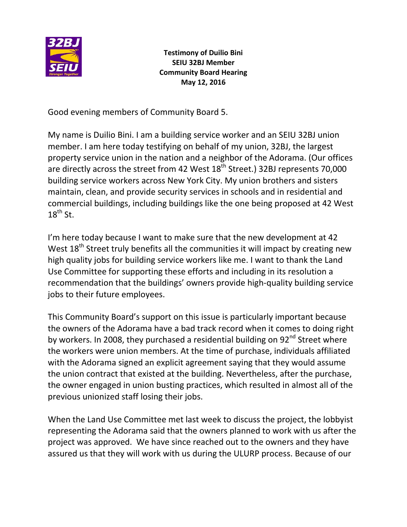

**Testimony of Duilio Bini SEIU 32BJ Member Community Board Hearing May 12, 2016**

Good evening members of Community Board 5.

My name is Duilio Bini. I am a building service worker and an SEIU 32BJ union member. I am here today testifying on behalf of my union, 32BJ, the largest property service union in the nation and a neighbor of the Adorama. (Our offices are directly across the street from 42 West  $18<sup>th</sup>$  Street.) 32BJ represents 70,000 building service workers across New York City. My union brothers and sisters maintain, clean, and provide security services in schools and in residential and commercial buildings, including buildings like the one being proposed at 42 West  $18^{th}$  St.

I'm here today because I want to make sure that the new development at 42 West 18<sup>th</sup> Street truly benefits all the communities it will impact by creating new high quality jobs for building service workers like me. I want to thank the Land Use Committee for supporting these efforts and including in its resolution a recommendation that the buildings' owners provide high-quality building service jobs to their future employees.

This Community Board's support on this issue is particularly important because the owners of the Adorama have a bad track record when it comes to doing right by workers. In 2008, they purchased a residential building on  $92<sup>nd</sup>$  Street where the workers were union members. At the time of purchase, individuals affiliated with the Adorama signed an explicit agreement saying that they would assume the union contract that existed at the building. Nevertheless, after the purchase, the owner engaged in union busting practices, which resulted in almost all of the previous unionized staff losing their jobs.

When the Land Use Committee met last week to discuss the project, the lobbyist representing the Adorama said that the owners planned to work with us after the project was approved. We have since reached out to the owners and they have assured us that they will work with us during the ULURP process. Because of our